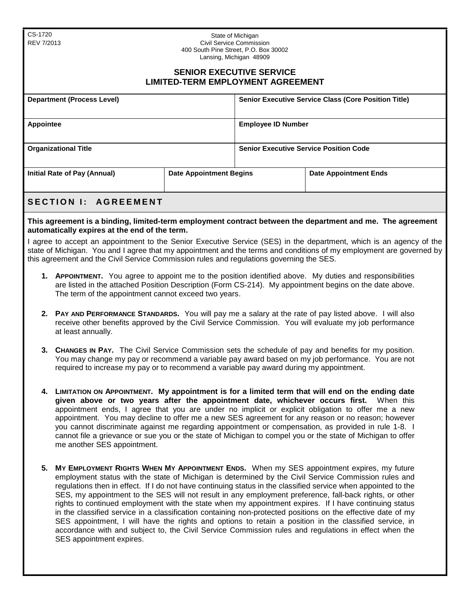CS-1720 REV 7/2013

## State of Michigan Civil Service Commission 400 South Pine Street, P.O. Box 30002 Lansing, Michigan 48909

## **SENIOR EXECUTIVE SERVICE LIMITED-TERM EMPLOYMENT AGREEMENT**

| <b>Department (Process Level)</b>                              |  | <b>Senior Executive Service Class (Core Position Title)</b> |                              |
|----------------------------------------------------------------|--|-------------------------------------------------------------|------------------------------|
| Appointee                                                      |  | <b>Employee ID Number</b>                                   |                              |
| <b>Organizational Title</b>                                    |  | <b>Senior Executive Service Position Code</b>               |                              |
| Initial Rate of Pay (Annual)<br><b>Date Appointment Begins</b> |  |                                                             | <b>Date Appointment Ends</b> |

## **SECTION I: AGREEMENT**

**This agreement is a binding, limited-term employment contract between the department and me. The agreement automatically expires at the end of the term.** 

I agree to accept an appointment to the Senior Executive Service (SES) in the department, which is an agency of the state of Michigan. You and I agree that my appointment and the terms and conditions of my employment are governed by this agreement and the Civil Service Commission rules and regulations governing the SES.

- **1. APPOINTMENT.** You agree to appoint me to the position identified above. My duties and responsibilities are listed in the attached Position Description (Form CS-214). My appointment begins on the date above. The term of the appointment cannot exceed two years.
- **2. PAY AND PERFORMANCE STANDARDS.** You will pay me a salary at the rate of pay listed above. I will also receive other benefits approved by the Civil Service Commission. You will evaluate my job performance at least annually.
- **3. CHANGES IN PAY.** The Civil Service Commission sets the schedule of pay and benefits for my position. You may change my pay or recommend a variable pay award based on my job performance. You are not required to increase my pay or to recommend a variable pay award during my appointment.
- **4. LIMITATION ON APPOINTMENT. My appointment is for a limited term that will end on the ending date given above or two years after the appointment date, whichever occurs first.** When this appointment ends, I agree that you are under no implicit or explicit obligation to offer me a new appointment. You may decline to offer me a new SES agreement for any reason or no reason; however you cannot discriminate against me regarding appointment or compensation, as provided in rule 1-8. I cannot file a grievance or sue you or the state of Michigan to compel you or the state of Michigan to offer me another SES appointment.
- **5. MY EMPLOYMENT RIGHTS WHEN MY APPOINTMENT ENDS.** When my SES appointment expires, my future employment status with the state of Michigan is determined by the Civil Service Commission rules and regulations then in effect. If I do not have continuing status in the classified service when appointed to the SES, my appointment to the SES will not result in any employment preference, fall-back rights, or other rights to continued employment with the state when my appointment expires. If I have continuing status in the classified service in a classification containing non-protected positions on the effective date of my SES appointment, I will have the rights and options to retain a position in the classified service, in accordance with and subject to, the Civil Service Commission rules and regulations in effect when the SES appointment expires.